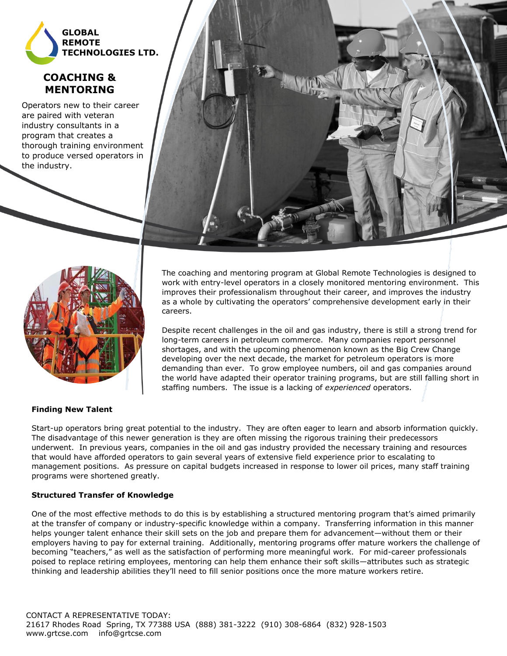

# **COACHING & MENTORING**

Operators new to their career are paired with veteran industry consultants in a program that creates a thorough training environment to produce versed operators in the industry.





The coaching and mentoring program at Global Remote Technologies is designed to work with entry-level operators in a closely monitored mentoring environment. This improves their professionalism throughout their career, and improves the industry as a whole by cultivating the operators' comprehensive development early in their careers.

Despite recent challenges in the oil and gas industry, there is still a strong trend for long-term careers in petroleum commerce. Many companies report personnel shortages, and with the upcoming phenomenon known as the Big Crew Change developing over the next decade, the market for petroleum operators is more demanding than ever. To grow employee numbers, oil and gas companies around the world have adapted their operator training programs, but are still falling short in staffing numbers. The issue is a lacking of *experienced* operators.

### **Finding New Talent**

Start-up operators bring great potential to the industry. They are often eager to learn and absorb information quickly. The disadvantage of this newer generation is they are often missing the rigorous training their predecessors underwent. In previous years, companies in the oil and gas industry provided the necessary training and resources that would have afforded operators to gain several years of extensive field experience prior to escalating to management positions. As pressure on capital budgets increased in response to lower oil prices, many staff training programs were shortened greatly.

## **Structured Transfer of Knowledge**

One of the most effective methods to do this is by establishing a structured mentoring program that's aimed primarily at the transfer of company or industry-specific knowledge within a company. Transferring information in this manner helps younger talent enhance their skill sets on the job and prepare them for advancement—without them or their employers having to pay for external training. Additionally, mentoring programs offer mature workers the challenge of becoming "teachers," as well as the satisfaction of performing more meaningful work. For mid-career professionals poised to replace retiring employees, mentoring can help them enhance their soft skills—attributes such as strategic thinking and leadership abilities they'll need to fill senior positions once the more mature workers retire.